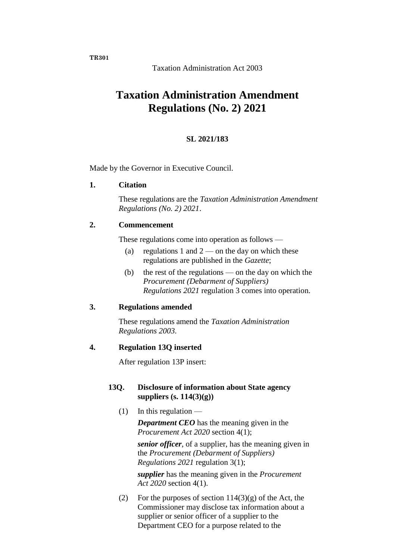**TR301**

Taxation Administration Act 2003

# **Taxation Administration Amendment Regulations (No. 2) 2021**

### **SL 2021/183**

Made by the Governor in Executive Council.

#### **1. Citation**

These regulations are the *Taxation Administration Amendment Regulations (No. 2) 2021*.

### **2. Commencement**

These regulations come into operation as follows —

- (a) regulations 1 and  $2$  on the day on which these regulations are published in the *Gazette*;
- (b) the rest of the regulations on the day on which the *Procurement (Debarment of Suppliers) Regulations 2021* regulation 3 comes into operation.

### **3. Regulations amended**

These regulations amend the *Taxation Administration Regulations 2003*.

### **4. Regulation 13Q inserted**

After regulation 13P insert:

## **13Q. Disclosure of information about State agency suppliers (s. 114(3)(g))**

 $(1)$  In this regulation — *Department CEO* has the meaning given in the *Procurement Act 2020* section 4(1);

> *senior officer*, of a supplier, has the meaning given in the *Procurement (Debarment of Suppliers) Regulations 2021* regulation 3(1);

*supplier* has the meaning given in the *Procurement Act 2020* section 4(1).

(2) For the purposes of section  $114(3)(g)$  of the Act, the Commissioner may disclose tax information about a supplier or senior officer of a supplier to the Department CEO for a purpose related to the